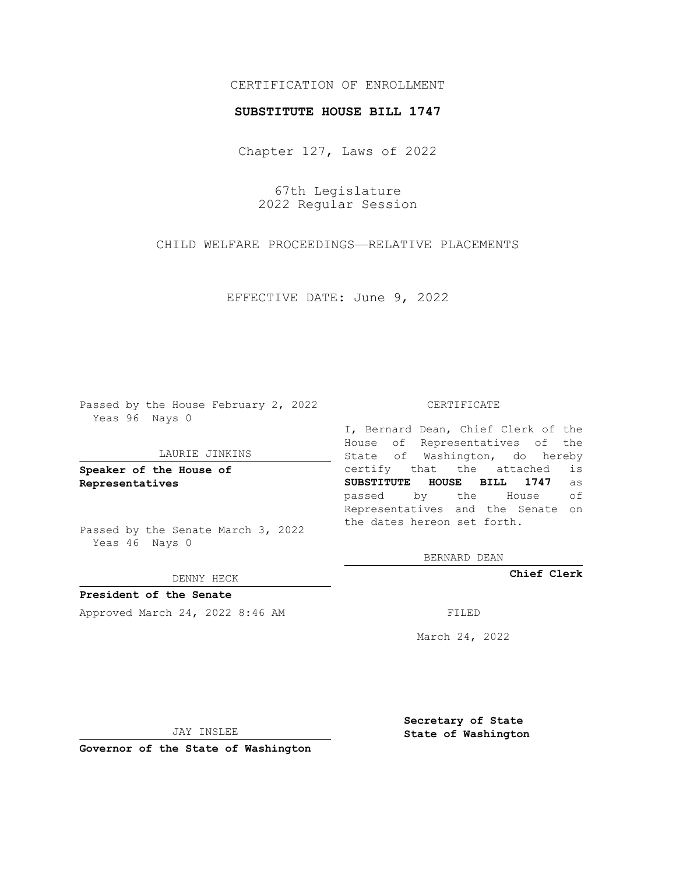# CERTIFICATION OF ENROLLMENT

### **SUBSTITUTE HOUSE BILL 1747**

Chapter 127, Laws of 2022

67th Legislature 2022 Regular Session

CHILD WELFARE PROCEEDINGS—RELATIVE PLACEMENTS

EFFECTIVE DATE: June 9, 2022

Passed by the House February 2, 2022 Yeas 96 Nays 0

### LAURIE JINKINS

**Speaker of the House of Representatives**

Passed by the Senate March 3, 2022 Yeas 46 Nays 0

### DENNY HECK

**President of the Senate** Approved March 24, 2022 8:46 AM FILED

#### CERTIFICATE

I, Bernard Dean, Chief Clerk of the House of Representatives of the State of Washington, do hereby certify that the attached is **SUBSTITUTE HOUSE BILL 1747** as passed by the House of Representatives and the Senate on the dates hereon set forth.

BERNARD DEAN

**Chief Clerk**

March 24, 2022

JAY INSLEE

**Governor of the State of Washington**

**Secretary of State State of Washington**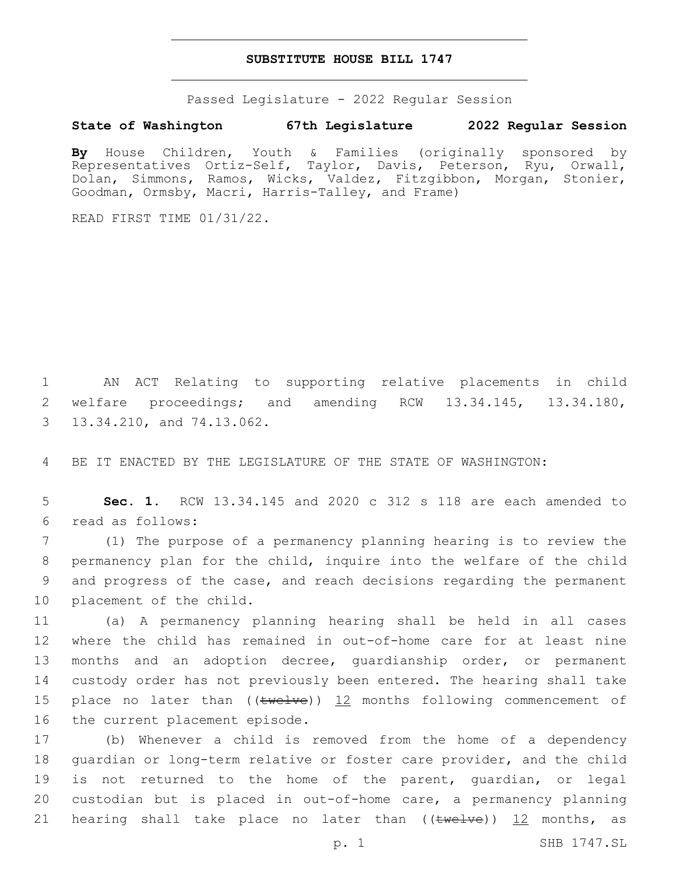## **SUBSTITUTE HOUSE BILL 1747**

Passed Legislature - 2022 Regular Session

## **State of Washington 67th Legislature 2022 Regular Session**

**By** House Children, Youth & Families (originally sponsored by Representatives Ortiz-Self, Taylor, Davis, Peterson, Ryu, Orwall, Dolan, Simmons, Ramos, Wicks, Valdez, Fitzgibbon, Morgan, Stonier, Goodman, Ormsby, Macri, Harris-Talley, and Frame)

READ FIRST TIME 01/31/22.

1 AN ACT Relating to supporting relative placements in child 2 welfare proceedings; and amending RCW 13.34.145, 13.34.180, 3 13.34.210, and 74.13.062.

4 BE IT ENACTED BY THE LEGISLATURE OF THE STATE OF WASHINGTON:

5 **Sec. 1.** RCW 13.34.145 and 2020 c 312 s 118 are each amended to read as follows:6

 (1) The purpose of a permanency planning hearing is to review the permanency plan for the child, inquire into the welfare of the child and progress of the case, and reach decisions regarding the permanent 10 placement of the child.

 (a) A permanency planning hearing shall be held in all cases where the child has remained in out-of-home care for at least nine months and an adoption decree, guardianship order, or permanent custody order has not previously been entered. The hearing shall take 15 place no later than  $((\text{twelve}))$  12 months following commencement of 16 the current placement episode.

 (b) Whenever a child is removed from the home of a dependency guardian or long-term relative or foster care provider, and the child is not returned to the home of the parent, guardian, or legal custodian but is placed in out-of-home care, a permanency planning 21 hearing shall take place no later than  $((\text{twelve}))$   $\frac{12}{12}$  months, as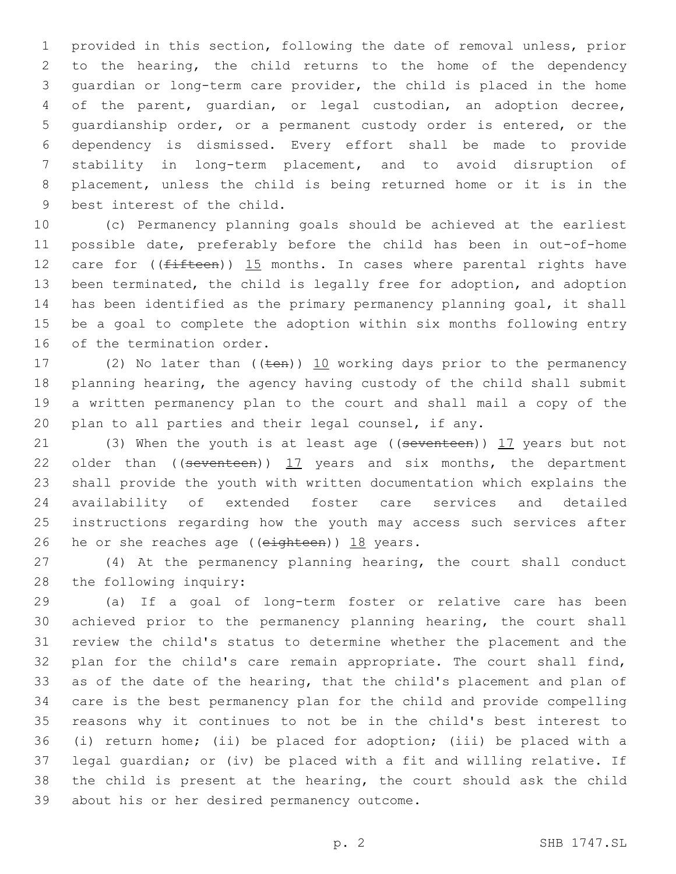provided in this section, following the date of removal unless, prior to the hearing, the child returns to the home of the dependency guardian or long-term care provider, the child is placed in the home of the parent, guardian, or legal custodian, an adoption decree, guardianship order, or a permanent custody order is entered, or the dependency is dismissed. Every effort shall be made to provide stability in long-term placement, and to avoid disruption of placement, unless the child is being returned home or it is in the 9 best interest of the child.

 (c) Permanency planning goals should be achieved at the earliest possible date, preferably before the child has been in out-of-home 12 care for  $($ ( $f$ ifteen)) 15 months. In cases where parental rights have been terminated, the child is legally free for adoption, and adoption has been identified as the primary permanency planning goal, it shall be a goal to complete the adoption within six months following entry 16 of the termination order.

17 (2) No later than  $((\text{ten}))$  10 working days prior to the permanency planning hearing, the agency having custody of the child shall submit a written permanency plan to the court and shall mail a copy of the plan to all parties and their legal counsel, if any.

21 (3) When the youth is at least age ((seventeen)) 17 years but not 22 older than  $($  (seventeen))  $17$  years and six months, the department shall provide the youth with written documentation which explains the availability of extended foster care services and detailed instructions regarding how the youth may access such services after 26 he or she reaches age (( $e$ ighteen)) 18 years.

 (4) At the permanency planning hearing, the court shall conduct 28 the following inquiry:

 (a) If a goal of long-term foster or relative care has been achieved prior to the permanency planning hearing, the court shall review the child's status to determine whether the placement and the plan for the child's care remain appropriate. The court shall find, as of the date of the hearing, that the child's placement and plan of care is the best permanency plan for the child and provide compelling reasons why it continues to not be in the child's best interest to (i) return home; (ii) be placed for adoption; (iii) be placed with a legal guardian; or (iv) be placed with a fit and willing relative. If the child is present at the hearing, the court should ask the child 39 about his or her desired permanency outcome.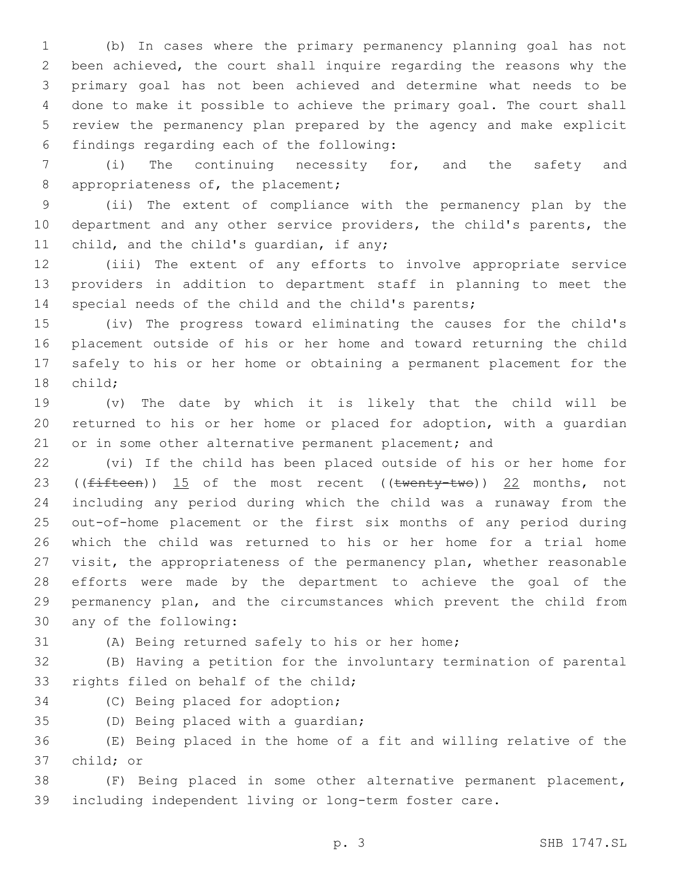(b) In cases where the primary permanency planning goal has not been achieved, the court shall inquire regarding the reasons why the primary goal has not been achieved and determine what needs to be done to make it possible to achieve the primary goal. The court shall review the permanency plan prepared by the agency and make explicit findings regarding each of the following:6

 (i) The continuing necessity for, and the safety and 8 appropriateness of, the placement;

 (ii) The extent of compliance with the permanency plan by the department and any other service providers, the child's parents, the 11 child, and the child's quardian, if any;

 (iii) The extent of any efforts to involve appropriate service providers in addition to department staff in planning to meet the special needs of the child and the child's parents;

 (iv) The progress toward eliminating the causes for the child's placement outside of his or her home and toward returning the child safely to his or her home or obtaining a permanent placement for the 18 child;

 (v) The date by which it is likely that the child will be returned to his or her home or placed for adoption, with a guardian 21 or in some other alternative permanent placement; and

 (vi) If the child has been placed outside of his or her home for 23 (( $fifteen$ ))  $15$  of the most recent (( $twenty-two$ ))  $22$  months, not including any period during which the child was a runaway from the out-of-home placement or the first six months of any period during which the child was returned to his or her home for a trial home visit, the appropriateness of the permanency plan, whether reasonable efforts were made by the department to achieve the goal of the permanency plan, and the circumstances which prevent the child from 30 any of the following:

(A) Being returned safely to his or her home;

 (B) Having a petition for the involuntary termination of parental 33 rights filed on behalf of the child;

34 (C) Being placed for adoption;

35 (D) Being placed with a quardian;

 (E) Being placed in the home of a fit and willing relative of the 37 child; or

 (F) Being placed in some other alternative permanent placement, including independent living or long-term foster care.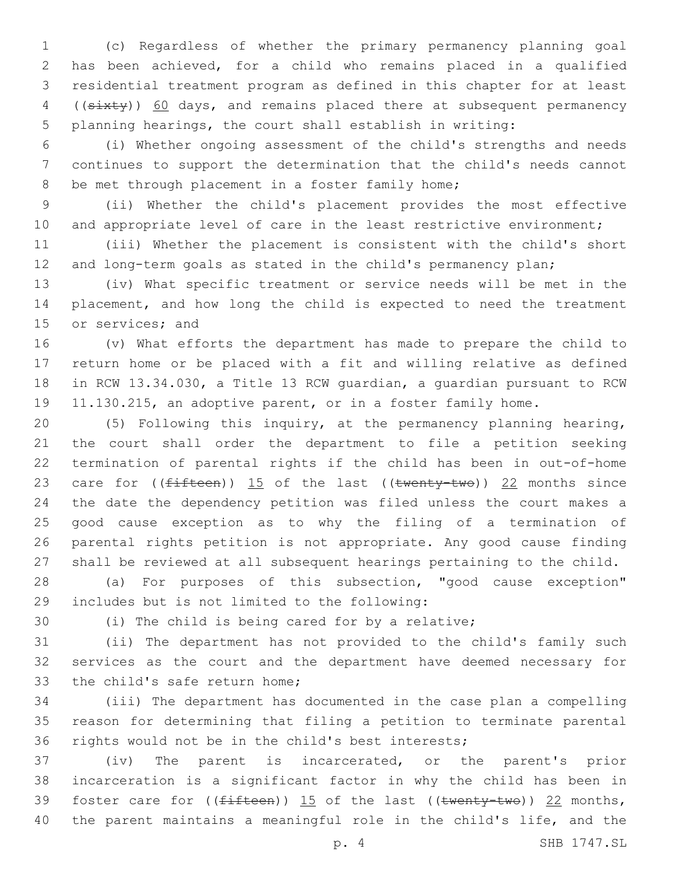(c) Regardless of whether the primary permanency planning goal has been achieved, for a child who remains placed in a qualified residential treatment program as defined in this chapter for at least 4 ((sixty)) 60 days, and remains placed there at subsequent permanency planning hearings, the court shall establish in writing:

 (i) Whether ongoing assessment of the child's strengths and needs continues to support the determination that the child's needs cannot 8 be met through placement in a foster family home;

 (ii) Whether the child's placement provides the most effective 10 and appropriate level of care in the least restrictive environment;

 (iii) Whether the placement is consistent with the child's short and long-term goals as stated in the child's permanency plan;

 (iv) What specific treatment or service needs will be met in the placement, and how long the child is expected to need the treatment 15 or services; and

 (v) What efforts the department has made to prepare the child to return home or be placed with a fit and willing relative as defined in RCW 13.34.030, a Title 13 RCW guardian, a guardian pursuant to RCW 11.130.215, an adoptive parent, or in a foster family home.

 (5) Following this inquiry, at the permanency planning hearing, the court shall order the department to file a petition seeking termination of parental rights if the child has been in out-of-home 23 care for  $(\text{fifteen})$ ) 15 of the last  $((\text{twenty-two}))$  22 months since the date the dependency petition was filed unless the court makes a good cause exception as to why the filing of a termination of parental rights petition is not appropriate. Any good cause finding shall be reviewed at all subsequent hearings pertaining to the child.

 (a) For purposes of this subsection, "good cause exception" includes but is not limited to the following:29

(i) The child is being cared for by a relative;

 (ii) The department has not provided to the child's family such services as the court and the department have deemed necessary for 33 the child's safe return home;

 (iii) The department has documented in the case plan a compelling reason for determining that filing a petition to terminate parental rights would not be in the child's best interests;

 (iv) The parent is incarcerated, or the parent's prior incarceration is a significant factor in why the child has been in 39 foster care for  $((fifteen))$  15 of the last  $((twenty-two))$  22 months, the parent maintains a meaningful role in the child's life, and the

p. 4 SHB 1747.SL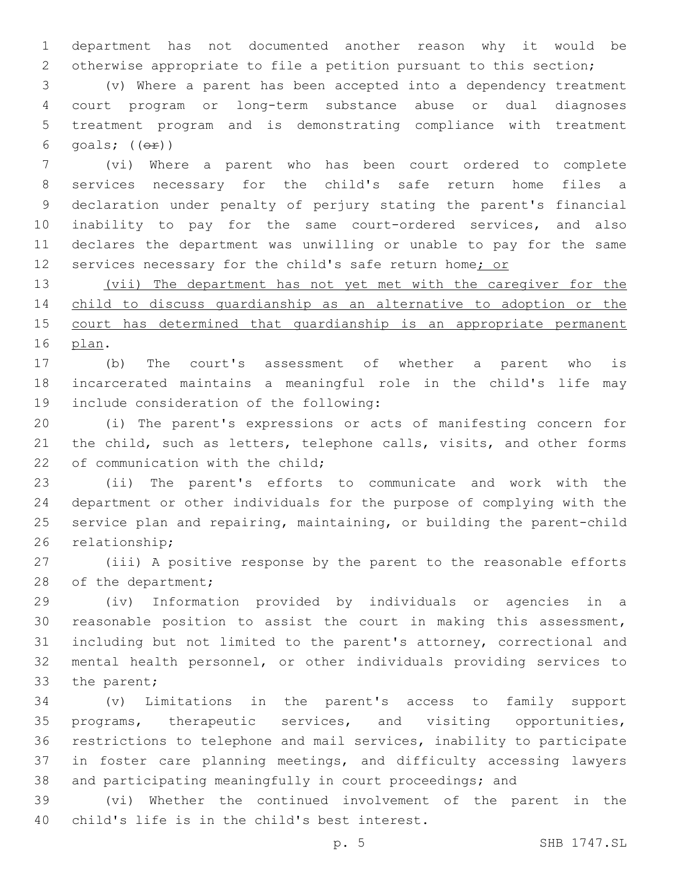department has not documented another reason why it would be otherwise appropriate to file a petition pursuant to this section;

 (v) Where a parent has been accepted into a dependency treatment court program or long-term substance abuse or dual diagnoses treatment program and is demonstrating compliance with treatment 6 goals;  $((\theta \cdot \hat{r}))$ 

 (vi) Where a parent who has been court ordered to complete services necessary for the child's safe return home files a declaration under penalty of perjury stating the parent's financial inability to pay for the same court-ordered services, and also declares the department was unwilling or unable to pay for the same 12 services necessary for the child's safe return home; or

 (vii) The department has not yet met with the caregiver for the child to discuss guardianship as an alternative to adoption or the 15 court has determined that quardianship is an appropriate permanent 16 plan.

 (b) The court's assessment of whether a parent who is incarcerated maintains a meaningful role in the child's life may 19 include consideration of the following:

 (i) The parent's expressions or acts of manifesting concern for 21 the child, such as letters, telephone calls, visits, and other forms 22 of communication with the child:

 (ii) The parent's efforts to communicate and work with the department or other individuals for the purpose of complying with the service plan and repairing, maintaining, or building the parent-child 26 relationship;

 (iii) A positive response by the parent to the reasonable efforts 28 of the department;

 (iv) Information provided by individuals or agencies in a reasonable position to assist the court in making this assessment, including but not limited to the parent's attorney, correctional and mental health personnel, or other individuals providing services to 33 the parent;

 (v) Limitations in the parent's access to family support programs, therapeutic services, and visiting opportunities, restrictions to telephone and mail services, inability to participate in foster care planning meetings, and difficulty accessing lawyers and participating meaningfully in court proceedings; and

 (vi) Whether the continued involvement of the parent in the 40 child's life is in the child's best interest.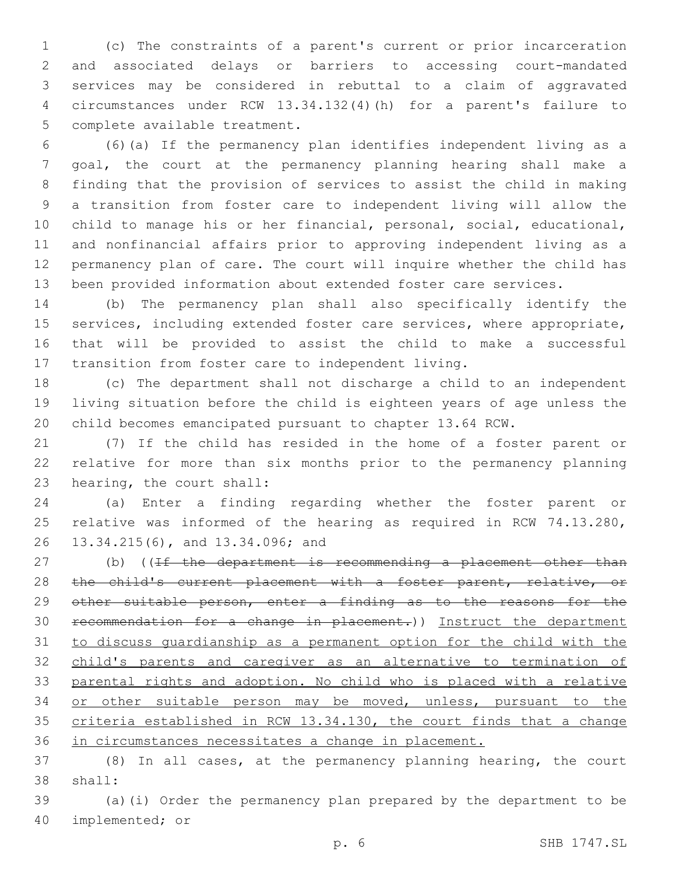(c) The constraints of a parent's current or prior incarceration and associated delays or barriers to accessing court-mandated services may be considered in rebuttal to a claim of aggravated circumstances under RCW 13.34.132(4)(h) for a parent's failure to 5 complete available treatment.

 (6)(a) If the permanency plan identifies independent living as a goal, the court at the permanency planning hearing shall make a finding that the provision of services to assist the child in making a transition from foster care to independent living will allow the child to manage his or her financial, personal, social, educational, and nonfinancial affairs prior to approving independent living as a permanency plan of care. The court will inquire whether the child has been provided information about extended foster care services.

 (b) The permanency plan shall also specifically identify the services, including extended foster care services, where appropriate, that will be provided to assist the child to make a successful transition from foster care to independent living.

 (c) The department shall not discharge a child to an independent living situation before the child is eighteen years of age unless the child becomes emancipated pursuant to chapter 13.64 RCW.

 (7) If the child has resided in the home of a foster parent or relative for more than six months prior to the permanency planning 23 hearing, the court shall:

 (a) Enter a finding regarding whether the foster parent or relative was informed of the hearing as required in RCW 74.13.280, 26 13.34.215(6), and 13.34.096; and

27 (b) ((If the department is recommending a placement other than 28 the child's current placement with a foster parent, relative, or 29 other suitable person, enter a finding as to the reasons for the recommendation for a change in placement.)) Instruct the department to discuss guardianship as a permanent option for the child with the child's parents and caregiver as an alternative to termination of parental rights and adoption. No child who is placed with a relative or other suitable person may be moved, unless, pursuant to the criteria established in RCW 13.34.130, the court finds that a change in circumstances necessitates a change in placement.

 (8) In all cases, at the permanency planning hearing, the court 38 shall:

 (a)(i) Order the permanency plan prepared by the department to be 40 implemented; or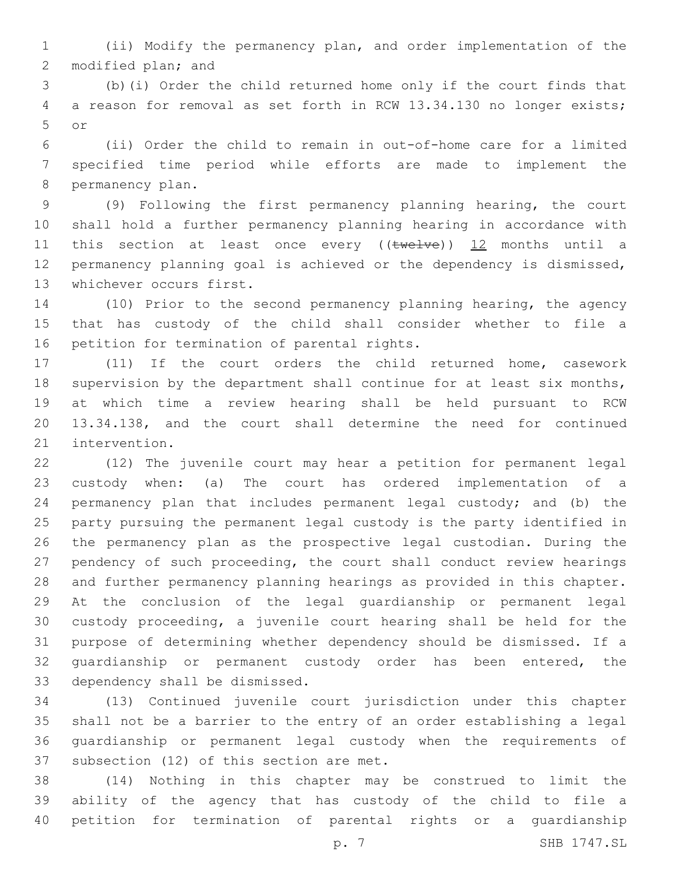(ii) Modify the permanency plan, and order implementation of the 2 modified plan; and

 (b)(i) Order the child returned home only if the court finds that a reason for removal as set forth in RCW 13.34.130 no longer exists; or5

 (ii) Order the child to remain in out-of-home care for a limited specified time period while efforts are made to implement the 8 permanency plan.

 (9) Following the first permanency planning hearing, the court shall hold a further permanency planning hearing in accordance with 11 this section at least once every ((twelve)) 12 months until a permanency planning goal is achieved or the dependency is dismissed, 13 whichever occurs first.

 (10) Prior to the second permanency planning hearing, the agency that has custody of the child shall consider whether to file a 16 petition for termination of parental rights.

 (11) If the court orders the child returned home, casework 18 supervision by the department shall continue for at least six months, at which time a review hearing shall be held pursuant to RCW 13.34.138, and the court shall determine the need for continued 21 intervention.

 (12) The juvenile court may hear a petition for permanent legal custody when: (a) The court has ordered implementation of a permanency plan that includes permanent legal custody; and (b) the party pursuing the permanent legal custody is the party identified in the permanency plan as the prospective legal custodian. During the pendency of such proceeding, the court shall conduct review hearings and further permanency planning hearings as provided in this chapter. At the conclusion of the legal guardianship or permanent legal custody proceeding, a juvenile court hearing shall be held for the purpose of determining whether dependency should be dismissed. If a 32 quardianship or permanent custody order has been entered, the 33 dependency shall be dismissed.

 (13) Continued juvenile court jurisdiction under this chapter shall not be a barrier to the entry of an order establishing a legal guardianship or permanent legal custody when the requirements of 37 subsection (12) of this section are met.

 (14) Nothing in this chapter may be construed to limit the ability of the agency that has custody of the child to file a petition for termination of parental rights or a guardianship

p. 7 SHB 1747.SL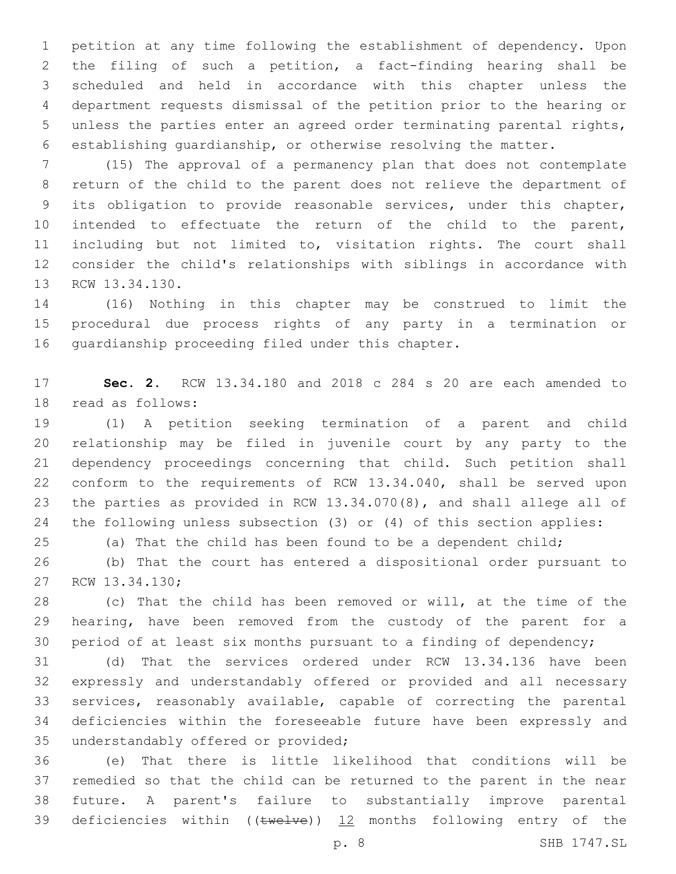petition at any time following the establishment of dependency. Upon the filing of such a petition, a fact-finding hearing shall be scheduled and held in accordance with this chapter unless the department requests dismissal of the petition prior to the hearing or unless the parties enter an agreed order terminating parental rights, establishing guardianship, or otherwise resolving the matter.

 (15) The approval of a permanency plan that does not contemplate return of the child to the parent does not relieve the department of its obligation to provide reasonable services, under this chapter, intended to effectuate the return of the child to the parent, including but not limited to, visitation rights. The court shall consider the child's relationships with siblings in accordance with 13 RCW 13.34.130.

 (16) Nothing in this chapter may be construed to limit the procedural due process rights of any party in a termination or 16 quardianship proceeding filed under this chapter.

 **Sec. 2.** RCW 13.34.180 and 2018 c 284 s 20 are each amended to 18 read as follows:

 (1) A petition seeking termination of a parent and child relationship may be filed in juvenile court by any party to the dependency proceedings concerning that child. Such petition shall conform to the requirements of RCW 13.34.040, shall be served upon the parties as provided in RCW 13.34.070(8), and shall allege all of the following unless subsection (3) or (4) of this section applies:

(a) That the child has been found to be a dependent child;

 (b) That the court has entered a dispositional order pursuant to 27 RCW 13.34.130;

 (c) That the child has been removed or will, at the time of the hearing, have been removed from the custody of the parent for a period of at least six months pursuant to a finding of dependency;

 (d) That the services ordered under RCW 13.34.136 have been expressly and understandably offered or provided and all necessary services, reasonably available, capable of correcting the parental deficiencies within the foreseeable future have been expressly and 35 understandably offered or provided;

 (e) That there is little likelihood that conditions will be remedied so that the child can be returned to the parent in the near future. A parent's failure to substantially improve parental 39 deficiencies within (( $t$ welve)) 12 months following entry of the

p. 8 SHB 1747.SL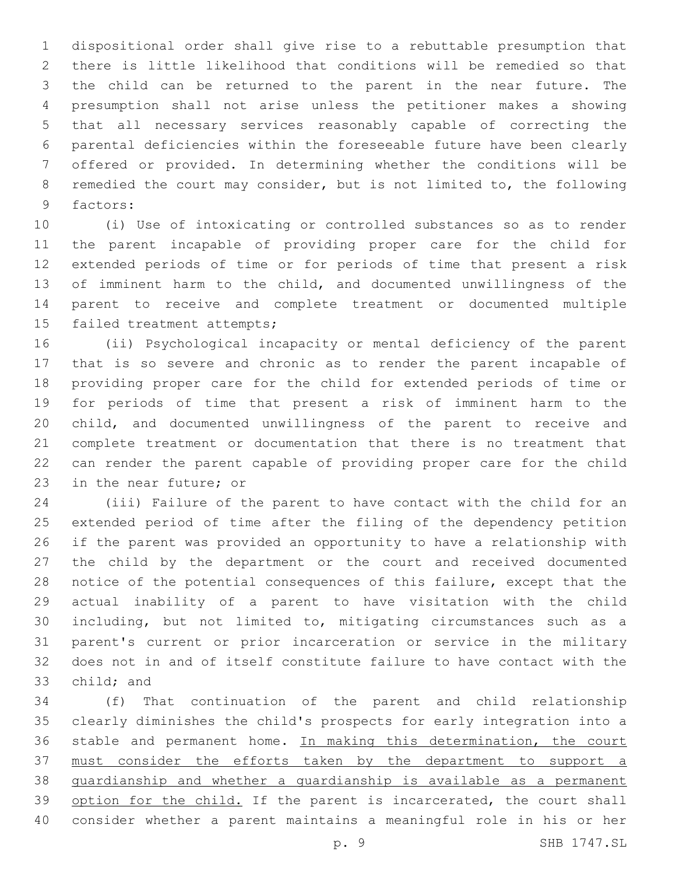dispositional order shall give rise to a rebuttable presumption that there is little likelihood that conditions will be remedied so that the child can be returned to the parent in the near future. The presumption shall not arise unless the petitioner makes a showing that all necessary services reasonably capable of correcting the parental deficiencies within the foreseeable future have been clearly offered or provided. In determining whether the conditions will be remedied the court may consider, but is not limited to, the following 9 factors:

 (i) Use of intoxicating or controlled substances so as to render the parent incapable of providing proper care for the child for extended periods of time or for periods of time that present a risk of imminent harm to the child, and documented unwillingness of the parent to receive and complete treatment or documented multiple 15 failed treatment attempts;

 (ii) Psychological incapacity or mental deficiency of the parent that is so severe and chronic as to render the parent incapable of providing proper care for the child for extended periods of time or for periods of time that present a risk of imminent harm to the child, and documented unwillingness of the parent to receive and complete treatment or documentation that there is no treatment that can render the parent capable of providing proper care for the child 23 in the near future; or

 (iii) Failure of the parent to have contact with the child for an extended period of time after the filing of the dependency petition if the parent was provided an opportunity to have a relationship with the child by the department or the court and received documented notice of the potential consequences of this failure, except that the actual inability of a parent to have visitation with the child including, but not limited to, mitigating circumstances such as a parent's current or prior incarceration or service in the military does not in and of itself constitute failure to have contact with the 33 child; and

 (f) That continuation of the parent and child relationship clearly diminishes the child's prospects for early integration into a 36 stable and permanent home. In making this determination, the court must consider the efforts taken by the department to support a guardianship and whether a guardianship is available as a permanent 39 option for the child. If the parent is incarcerated, the court shall consider whether a parent maintains a meaningful role in his or her

p. 9 SHB 1747.SL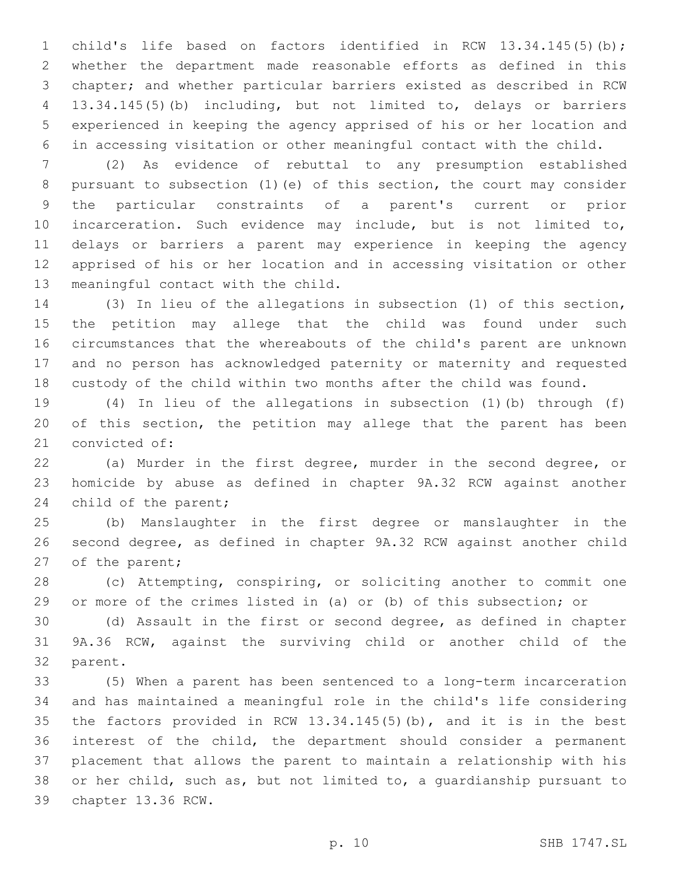child's life based on factors identified in RCW 13.34.145(5)(b); whether the department made reasonable efforts as defined in this chapter; and whether particular barriers existed as described in RCW 13.34.145(5)(b) including, but not limited to, delays or barriers experienced in keeping the agency apprised of his or her location and in accessing visitation or other meaningful contact with the child.

 (2) As evidence of rebuttal to any presumption established pursuant to subsection (1)(e) of this section, the court may consider the particular constraints of a parent's current or prior incarceration. Such evidence may include, but is not limited to, delays or barriers a parent may experience in keeping the agency apprised of his or her location and in accessing visitation or other 13 meaningful contact with the child.

 (3) In lieu of the allegations in subsection (1) of this section, the petition may allege that the child was found under such circumstances that the whereabouts of the child's parent are unknown and no person has acknowledged paternity or maternity and requested custody of the child within two months after the child was found.

 (4) In lieu of the allegations in subsection (1)(b) through (f) of this section, the petition may allege that the parent has been 21 convicted of:

 (a) Murder in the first degree, murder in the second degree, or homicide by abuse as defined in chapter 9A.32 RCW against another 24 child of the parent;

 (b) Manslaughter in the first degree or manslaughter in the second degree, as defined in chapter 9A.32 RCW against another child 27 of the parent;

 (c) Attempting, conspiring, or soliciting another to commit one or more of the crimes listed in (a) or (b) of this subsection; or

 (d) Assault in the first or second degree, as defined in chapter 9A.36 RCW, against the surviving child or another child of the 32 parent.

 (5) When a parent has been sentenced to a long-term incarceration and has maintained a meaningful role in the child's life considering the factors provided in RCW 13.34.145(5)(b), and it is in the best interest of the child, the department should consider a permanent placement that allows the parent to maintain a relationship with his or her child, such as, but not limited to, a guardianship pursuant to 39 chapter 13.36 RCW.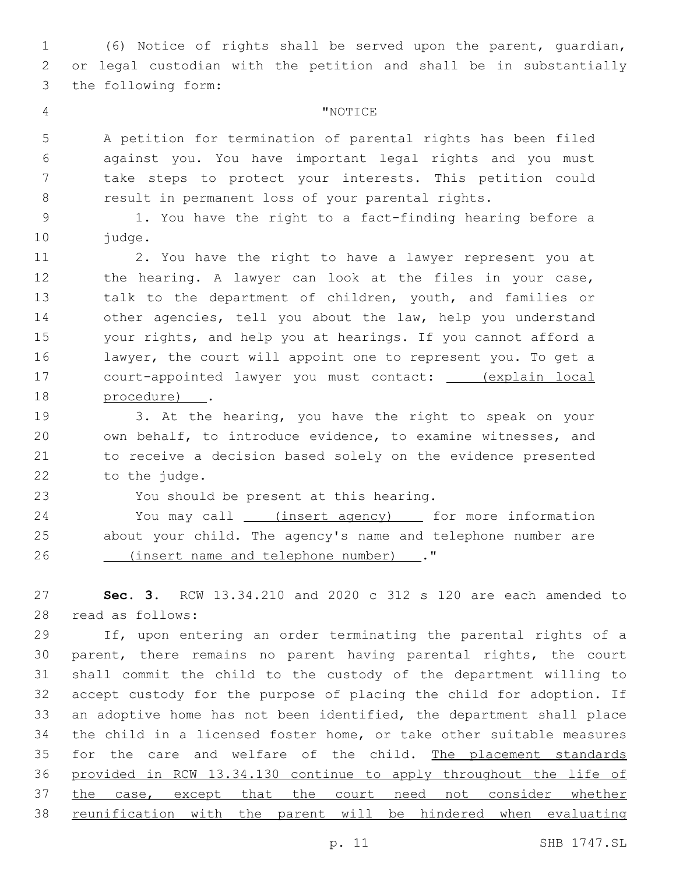(6) Notice of rights shall be served upon the parent, guardian, or legal custodian with the petition and shall be in substantially 3 the following form:

# "NOTICE4

 A petition for termination of parental rights has been filed against you. You have important legal rights and you must take steps to protect your interests. This petition could result in permanent loss of your parental rights.

 1. You have the right to a fact-finding hearing before a 10 judge.

 2. You have the right to have a lawyer represent you at 12 the hearing. A lawyer can look at the files in your case, talk to the department of children, youth, and families or other agencies, tell you about the law, help you understand your rights, and help you at hearings. If you cannot afford a lawyer, the court will appoint one to represent you. To get a court-appointed lawyer you must contact: (explain local 18 procedure) .

 3. At the hearing, you have the right to speak on your own behalf, to introduce evidence, to examine witnesses, and to receive a decision based solely on the evidence presented 22 to the judge.

23 You should be present at this hearing.

24 You may call \_\_\_\_(insert agency) \_\_\_\_\_ for more information about your child. The agency's name and telephone number are (insert name and telephone number) ."26

 **Sec. 3.** RCW 13.34.210 and 2020 c 312 s 120 are each amended to read as follows:28

 If, upon entering an order terminating the parental rights of a parent, there remains no parent having parental rights, the court shall commit the child to the custody of the department willing to accept custody for the purpose of placing the child for adoption. If an adoptive home has not been identified, the department shall place the child in a licensed foster home, or take other suitable measures 35 for the care and welfare of the child. The placement standards provided in RCW 13.34.130 continue to apply throughout the life of 37 the case, except that the court need not consider whether reunification with the parent will be hindered when evaluating